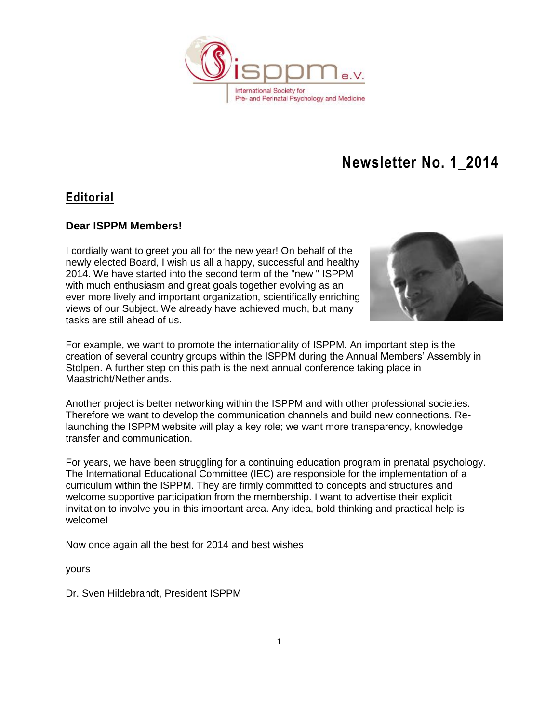

### **Editorial**

### **Dear ISPPM Members!**

I cordially want to greet you all for the new year! On behalf of the newly elected Board, I wish us all a happy, successful and healthy 2014. We have started into the second term of the "new " ISPPM with much enthusiasm and great goals together evolving as an ever more lively and important organization, scientifically enriching views of our Subject. We already have achieved much, but many tasks are still ahead of us.



For example, we want to promote the internationality of ISPPM. An important step is the creation of several country groups within the ISPPM during the Annual Members' Assembly in Stolpen. A further step on this path is the next annual conference taking place in Maastricht/Netherlands.

Another project is better networking within the ISPPM and with other professional societies. Therefore we want to develop the communication channels and build new connections. Relaunching the ISPPM website will play a key role; we want more transparency, knowledge transfer and communication.

For years, we have been struggling for a continuing education program in prenatal psychology. The International Educational Committee (IEC) are responsible for the implementation of a curriculum within the ISPPM. They are firmly committed to concepts and structures and welcome supportive participation from the membership. I want to advertise their explicit invitation to involve you in this important area. Any idea, bold thinking and practical help is welcome!

Now once again all the best for 2014 and best wishes

yours

Dr. Sven Hildebrandt, President ISPPM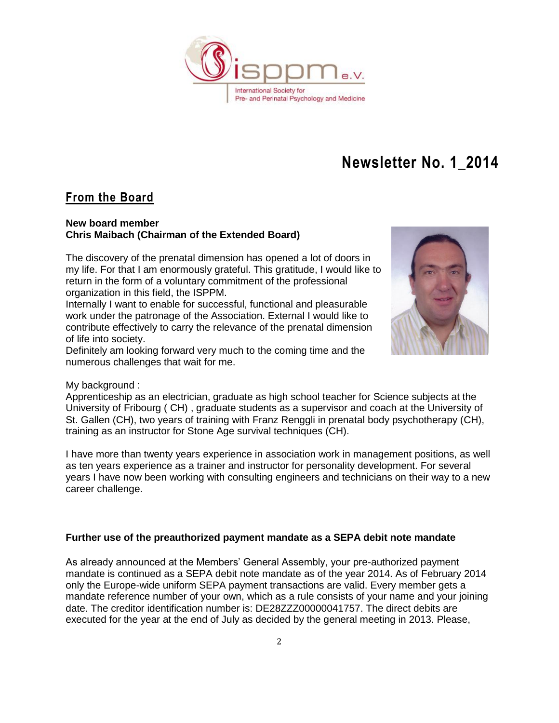

### **From the Board**

#### **New board member Chris Maibach (Chairman of the Extended Board)**

The discovery of the prenatal dimension has opened a lot of doors in my life. For that I am enormously grateful. This gratitude, I would like to return in the form of a voluntary commitment of the professional organization in this field, the ISPPM.

Internally I want to enable for successful, functional and pleasurable work under the patronage of the Association. External I would like to contribute effectively to carry the relevance of the prenatal dimension of life into society.

Definitely am looking forward very much to the coming time and the numerous challenges that wait for me.



#### My background :

Apprenticeship as an electrician, graduate as high school teacher for Science subjects at the University of Fribourg ( CH) , graduate students as a supervisor and coach at the University of St. Gallen (CH), two years of training with Franz Renggli in prenatal body psychotherapy (CH), training as an instructor for Stone Age survival techniques (CH).

I have more than twenty years experience in association work in management positions, as well as ten years experience as a trainer and instructor for personality development. For several years I have now been working with consulting engineers and technicians on their way to a new career challenge.

#### **Further use of the preauthorized payment mandate as a SEPA debit note mandate**

As already announced at the Members' General Assembly, your pre-authorized payment mandate is continued as a SEPA debit note mandate as of the year 2014. As of February 2014 only the Europe-wide uniform SEPA payment transactions are valid. Every member gets a mandate reference number of your own, which as a rule consists of your name and your joining date. The creditor identification number is: DE28ZZZ00000041757. The direct debits are executed for the year at the end of July as decided by the general meeting in 2013. Please,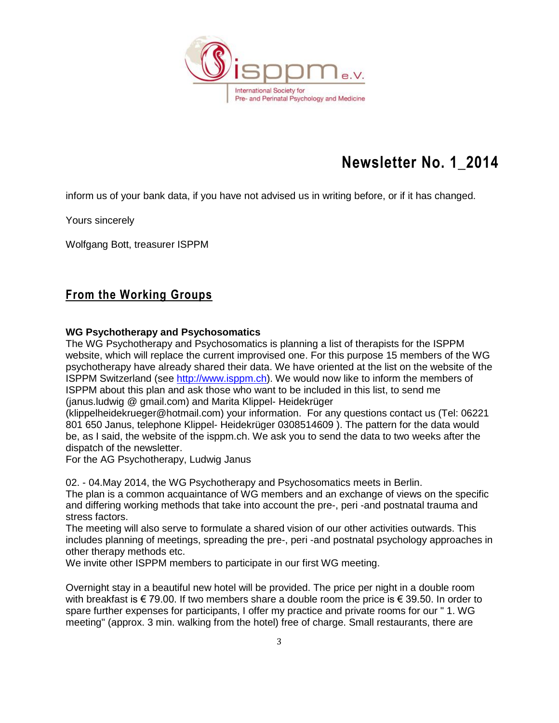

inform us of your bank data, if you have not advised us in writing before, or if it has changed.

Yours sincerely

Wolfgang Bott, treasurer ISPPM

### **From the Working Groups**

#### **WG Psychotherapy and Psychosomatics**

The WG Psychotherapy and Psychosomatics is planning a list of therapists for the ISPPM website, which will replace the current improvised one. For this purpose 15 members of the WG psychotherapy have already shared their data. We have oriented at the list on the website of the ISPPM Switzerland (see [http://www.isppm.ch\)](http://www.isppm.ch/). We would now like to inform the members of ISPPM about this plan and ask those who want to be included in this list, to send me (janus.ludwig @ gmail.com) and Marita Klippel- Heidekrüger

(klippelheidekrueger@hotmail.com) your information. For any questions contact us (Tel: 06221 801 650 Janus, telephone Klippel- Heidekrüger 0308514609 ). The pattern for the data would be, as I said, the website of the isppm.ch. We ask you to send the data to two weeks after the dispatch of the newsletter.

For the AG Psychotherapy, Ludwig Janus

02. - 04.May 2014, the WG Psychotherapy and Psychosomatics meets in Berlin.

The plan is a common acquaintance of WG members and an exchange of views on the specific and differing working methods that take into account the pre-, peri -and postnatal trauma and stress factors.

The meeting will also serve to formulate a shared vision of our other activities outwards. This includes planning of meetings, spreading the pre-, peri -and postnatal psychology approaches in other therapy methods etc.

We invite other ISPPM members to participate in our first WG meeting.

Overnight stay in a beautiful new hotel will be provided. The price per night in a double room with breakfast is  $\in$  79.00. If two members share a double room the price is  $\in$  39.50. In order to spare further expenses for participants, I offer my practice and private rooms for our " 1. WG meeting" (approx. 3 min. walking from the hotel) free of charge. Small restaurants, there are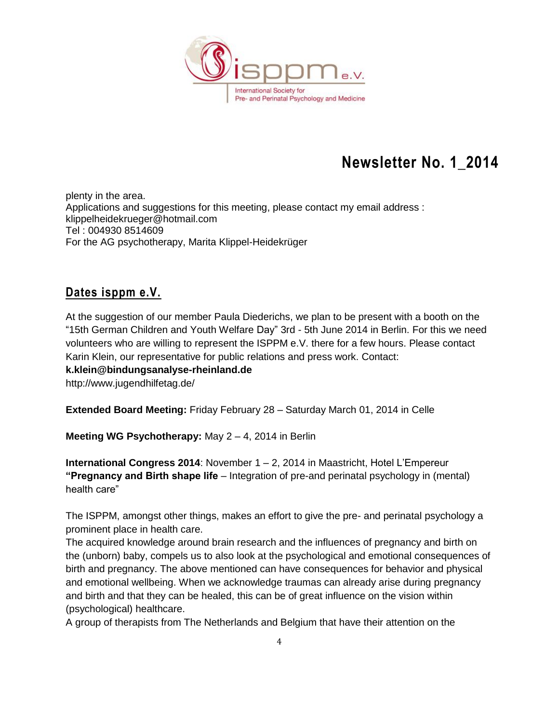

plenty in the area. Applications and suggestions for this meeting, please contact my email address : klippelheidekrueger@hotmail.com Tel : 004930 8514609 For the AG psychotherapy, Marita Klippel-Heidekrüger

### **Dates isppm e.V.**

At the suggestion of our member Paula Diederichs, we plan to be present with a booth on the "15th German Children and Youth Welfare Day" 3rd - 5th June 2014 in Berlin. For this we need volunteers who are willing to represent the ISPPM e.V. there for a few hours. Please contact Karin Klein, our representative for public relations and press work. Contact:

#### **k.klein@bindungsanalyse-rheinland.de**

http://www.jugendhilfetag.de/

**Extended Board Meeting:** Friday February 28 – Saturday March 01, 2014 in Celle

**Meeting WG Psychotherapy:** May 2 – 4, 2014 in Berlin

**International Congress 2014**: November 1 – 2, 2014 in Maastricht, Hotel L'Empereur **"Pregnancy and Birth shape life** – Integration of pre-and perinatal psychology in (mental) health care"

The ISPPM, amongst other things, makes an effort to give the pre- and perinatal psychology a prominent place in health care.

The acquired knowledge around brain research and the influences of pregnancy and birth on the (unborn) baby, compels us to also look at the psychological and emotional consequences of birth and pregnancy. The above mentioned can have consequences for behavior and physical and emotional wellbeing. When we acknowledge traumas can already arise during pregnancy and birth and that they can be healed, this can be of great influence on the vision within (psychological) healthcare.

A group of therapists from The Netherlands and Belgium that have their attention on the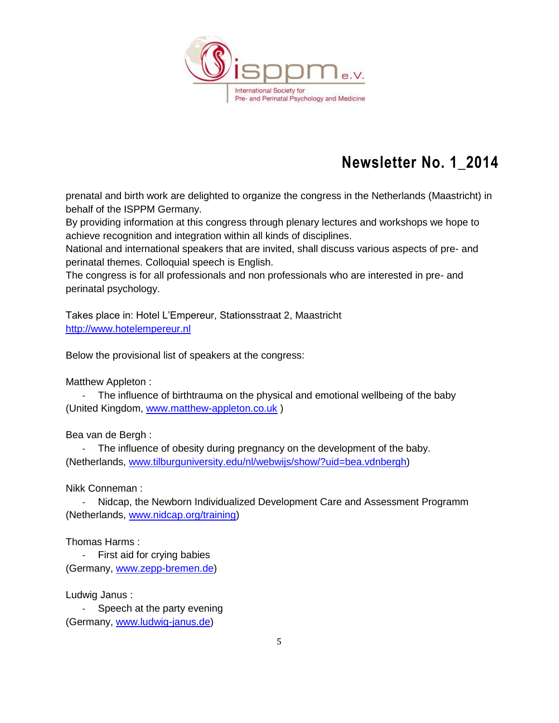

prenatal and birth work are delighted to organize the congress in the Netherlands (Maastricht) in behalf of the ISPPM Germany.

By providing information at this congress through plenary lectures and workshops we hope to achieve recognition and integration within all kinds of disciplines.

National and international speakers that are invited, shall discuss various aspects of pre- and perinatal themes. Colloquial speech is English.

The congress is for all professionals and non professionals who are interested in pre- and perinatal psychology.

Takes place in: Hotel L'Empereur, Stationsstraat 2, Maastricht [http://www.hotelempereur.nl](http://www.hotelempereur.nl/)

Below the provisional list of speakers at the congress:

Matthew Appleton :

- The influence of birthtrauma on the physical and emotional wellbeing of the baby (United Kingdom, [www.matthew-appleton.co.uk](http://www.matthew-appleton.co.uk/) )

Bea van de Bergh :

- The influence of obesity during pregnancy on the development of the baby. (Netherlands, [www.tilburguniversity.edu/nl/webwijs/show/?uid=bea.vdnbergh\)](http://www.tilburguniversity.edu/nl/webwijs/show/?uid=bea.vdnbergh)

Nikk Conneman :

Nidcap, the Newborn Individualized Development Care and Assessment Programm (Netherlands, [www.nidcap.org/training\)](http://www.nidcap.org/training)

Thomas Harms :

- First aid for crying babies (Germany, [www.zepp-bremen.de\)](http://www.zepp-bremen.de/)

Ludwig Janus :

- Speech at the party evening (Germany, [www.ludwig-janus.de\)](http://www.ludwig-janus.de/)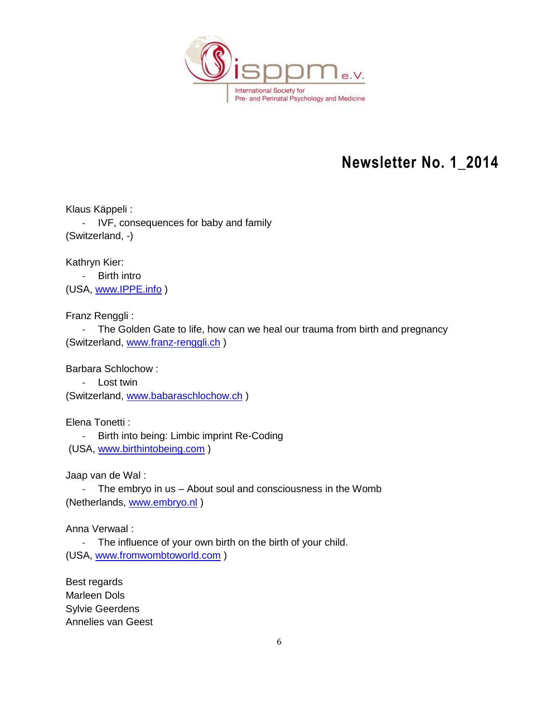

Klaus Käppeli : - IVF, consequences for baby and family (Switzerland, -)

Kathryn Kier:

- Birth intro (USA, [www.IPPE.info](http://www.ippe.info/) )

Franz Renggli :

- The Golden Gate to life, how can we heal our trauma from birth and pregnancy (Switzerland, [www.franz-renggli.ch](http://www.franz-renggli.ch/) )

Barbara Schlochow :

- Lost twin

(Switzerland, [www.babaraschlochow.ch](http://www.babaraschlochow.ch/) )

Elena Tonetti : - Birth into being: Limbic imprint Re-Coding (USA, [www.birthintobeing.com](http://www.birthintobeing.com/) )

Jaap van de Wal :

- The embryo in us – About soul and consciousness in the Womb (Netherlands, [www.embryo.nl](http://www.embryo.nl/))

Anna Verwaal :

- The influence of your own birth on the birth of your child. (USA, [www.fromwombtoworld.com](http://www.fromwombtoworld.com/) )

Best regards Marleen Dols Sylvie Geerdens Annelies van Geest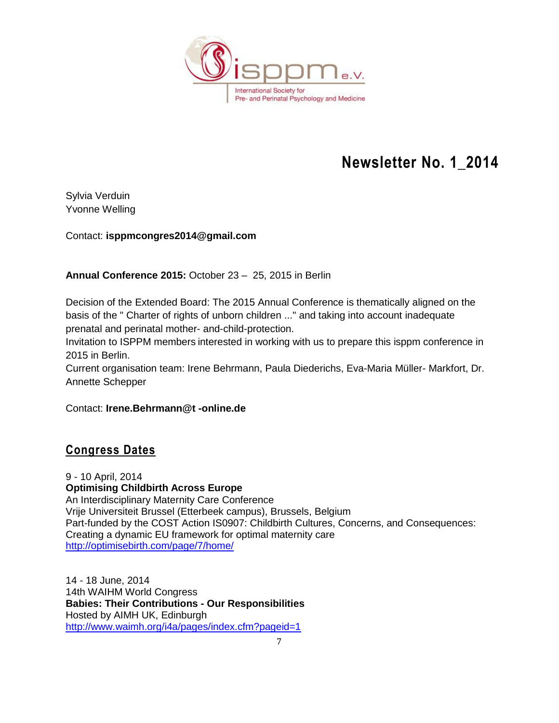

Sylvia Verduin Yvonne Welling

Contact: **isppmcongres2014@gmail.com** 

**Annual Conference 2015:** October 23 – 25, 2015 in Berlin

Decision of the Extended Board: The 2015 Annual Conference is thematically aligned on the basis of the " Charter of rights of unborn children ..." and taking into account inadequate prenatal and perinatal mother- and-child-protection.

Invitation to ISPPM members interested in working with us to prepare this isppm conference in 2015 in Berlin.

Current organisation team: Irene Behrmann, Paula Diederichs, Eva-Maria Müller- Markfort, Dr. Annette Schepper

Contact: **Irene.Behrmann@t -online.de**

### **Congress Dates**

9 - 10 April, 2014 **Optimising Childbirth Across Europe** An Interdisciplinary Maternity Care Conference Vrije Universiteit Brussel (Etterbeek campus), Brussels, Belgium Part-funded by the COST Action IS0907: Childbirth Cultures, Concerns, and Consequences: Creating a dynamic EU framework for optimal maternity care <http://optimisebirth.com/page/7/home/>

14 - 18 June, 2014 14th WAIHM World Congress **Babies: Their Contributions - Our Responsibilities** Hosted by AIMH UK, Edinburgh <http://www.waimh.org/i4a/pages/index.cfm?pageid=1>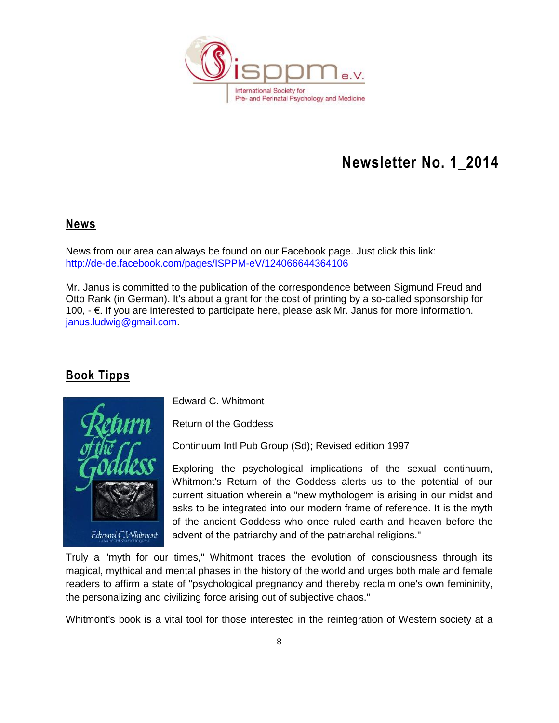

### **News**

News from our area can always be found on our Facebook page. Just click this link: <http://de-de.facebook.com/pages/ISPPM-eV/124066644364106>

Mr. Janus is committed to the publication of the correspondence between Sigmund Freud and Otto Rank (in German). It's about a grant for the cost of printing by a so-called sponsorship for 100, - €. If you are interested to participate here, please ask Mr. Janus for more information. [janus.ludwig@gmail.com.](mailto:janus.ludwig@gmail.com)

### **Book Tipps**



Edward C. Whitmont

Return of the Goddess

Continuum Intl Pub Group (Sd); Revised edition 1997

Exploring the psychological implications of the sexual continuum, Whitmont's Return of the Goddess alerts us to the potential of our current situation wherein a "new mythologem is arising in our midst and asks to be integrated into our modern frame of reference. It is the myth of the ancient Goddess who once ruled earth and heaven before the advent of the patriarchy and of the patriarchal religions."

Truly a "myth for our times," Whitmont traces the evolution of consciousness through its magical, mythical and mental phases in the history of the world and urges both male and female readers to affirm a state of "psychological pregnancy and thereby reclaim one's own femininity, the personalizing and civilizing force arising out of subjective chaos."

Whitmont's book is a vital tool for those interested in the reintegration of Western society at a